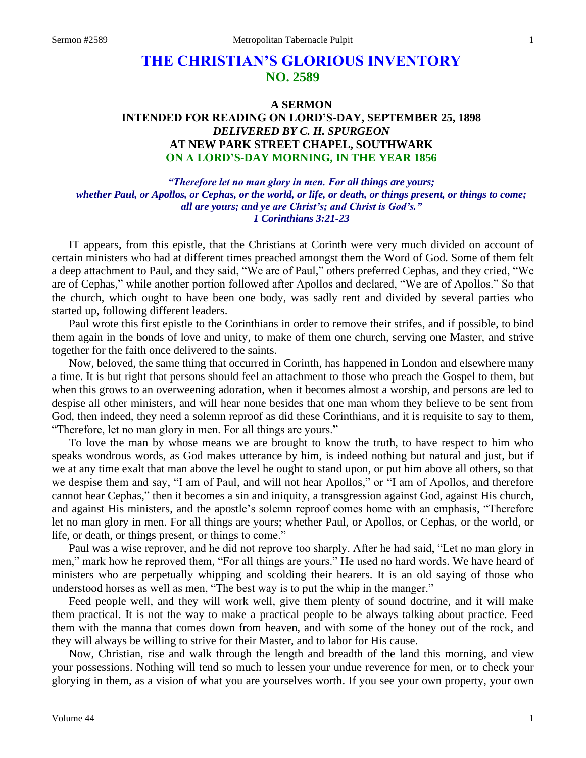## **THE CHRISTIAN'S GLORIOUS INVENTORY NO. 2589**

## **A SERMON INTENDED FOR READING ON LORD'S-DAY, SEPTEMBER 25, 1898** *DELIVERED BY C. H. SPURGEON* **AT NEW PARK STREET CHAPEL, SOUTHWARK ON A LORD'S-DAY MORNING, IN THE YEAR 1856**

*"Therefore let no man glory in men. For all things are yours; whether Paul, or Apollos, or Cephas, or the world, or life, or death, or things present, or things to come; all are yours; and ye are Christ's; and Christ is God's." 1 Corinthians 3:21-23*

IT appears, from this epistle, that the Christians at Corinth were very much divided on account of certain ministers who had at different times preached amongst them the Word of God. Some of them felt a deep attachment to Paul, and they said, "We are of Paul," others preferred Cephas, and they cried, "We are of Cephas," while another portion followed after Apollos and declared, "We are of Apollos." So that the church, which ought to have been one body, was sadly rent and divided by several parties who started up, following different leaders.

Paul wrote this first epistle to the Corinthians in order to remove their strifes, and if possible, to bind them again in the bonds of love and unity, to make of them one church, serving one Master, and strive together for the faith once delivered to the saints.

Now, beloved, the same thing that occurred in Corinth, has happened in London and elsewhere many a time. It is but right that persons should feel an attachment to those who preach the Gospel to them, but when this grows to an overweening adoration, when it becomes almost a worship, and persons are led to despise all other ministers, and will hear none besides that one man whom they believe to be sent from God, then indeed, they need a solemn reproof as did these Corinthians, and it is requisite to say to them, "Therefore, let no man glory in men. For all things are yours."

To love the man by whose means we are brought to know the truth, to have respect to him who speaks wondrous words, as God makes utterance by him, is indeed nothing but natural and just, but if we at any time exalt that man above the level he ought to stand upon, or put him above all others, so that we despise them and say, "I am of Paul, and will not hear Apollos," or "I am of Apollos, and therefore cannot hear Cephas," then it becomes a sin and iniquity, a transgression against God, against His church, and against His ministers, and the apostle's solemn reproof comes home with an emphasis, "Therefore let no man glory in men. For all things are yours; whether Paul, or Apollos, or Cephas, or the world, or life, or death, or things present, or things to come."

Paul was a wise reprover, and he did not reprove too sharply. After he had said, "Let no man glory in men," mark how he reproved them, "For all things are yours." He used no hard words. We have heard of ministers who are perpetually whipping and scolding their hearers. It is an old saying of those who understood horses as well as men, "The best way is to put the whip in the manger."

Feed people well, and they will work well, give them plenty of sound doctrine, and it will make them practical. It is not the way to make a practical people to be always talking about practice. Feed them with the manna that comes down from heaven, and with some of the honey out of the rock, and they will always be willing to strive for their Master, and to labor for His cause.

Now, Christian, rise and walk through the length and breadth of the land this morning, and view your possessions. Nothing will tend so much to lessen your undue reverence for men, or to check your glorying in them, as a vision of what you are yourselves worth. If you see your own property, your own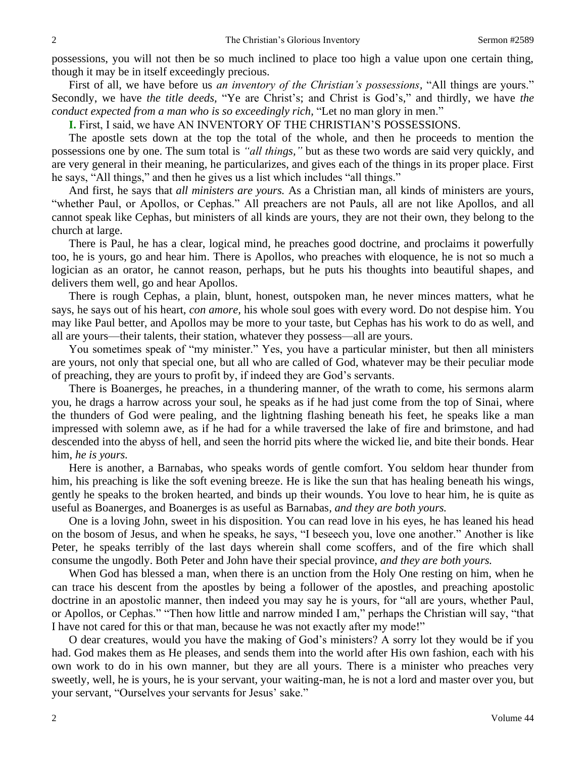possessions, you will not then be so much inclined to place too high a value upon one certain thing, though it may be in itself exceedingly precious.

First of all, we have before us *an inventory of the Christian's possessions,* "All things are yours." Secondly, we have *the title deeds,* "Ye are Christ's; and Christ is God's," and thirdly, we have *the conduct expected from a man who is so exceedingly rich,* "Let no man glory in men."

**I.** First, I said, we have AN INVENTORY OF THE CHRISTIAN'S POSSESSIONS.

The apostle sets down at the top the total of the whole, and then he proceeds to mention the possessions one by one. The sum total is *"all things,"* but as these two words are said very quickly, and are very general in their meaning, he particularizes, and gives each of the things in its proper place. First he says, "All things," and then he gives us a list which includes "all things."

And first, he says that *all ministers are yours.* As a Christian man, all kinds of ministers are yours, "whether Paul, or Apollos, or Cephas." All preachers are not Pauls, all are not like Apollos, and all cannot speak like Cephas, but ministers of all kinds are yours, they are not their own, they belong to the church at large.

There is Paul, he has a clear, logical mind, he preaches good doctrine, and proclaims it powerfully too, he is yours, go and hear him. There is Apollos, who preaches with eloquence, he is not so much a logician as an orator, he cannot reason, perhaps, but he puts his thoughts into beautiful shapes, and delivers them well, go and hear Apollos.

There is rough Cephas, a plain, blunt, honest, outspoken man, he never minces matters, what he says, he says out of his heart, *con amore,* his whole soul goes with every word. Do not despise him. You may like Paul better, and Apollos may be more to your taste, but Cephas has his work to do as well, and all are yours—their talents, their station, whatever they possess—all are yours.

You sometimes speak of "my minister." Yes, you have a particular minister, but then all ministers are yours, not only that special one, but all who are called of God, whatever may be their peculiar mode of preaching, they are yours to profit by, if indeed they are God's servants.

There is Boanerges, he preaches, in a thundering manner, of the wrath to come, his sermons alarm you, he drags a harrow across your soul, he speaks as if he had just come from the top of Sinai, where the thunders of God were pealing, and the lightning flashing beneath his feet, he speaks like a man impressed with solemn awe, as if he had for a while traversed the lake of fire and brimstone, and had descended into the abyss of hell, and seen the horrid pits where the wicked lie, and bite their bonds. Hear him, *he is yours.* 

Here is another, a Barnabas, who speaks words of gentle comfort. You seldom hear thunder from him, his preaching is like the soft evening breeze. He is like the sun that has healing beneath his wings, gently he speaks to the broken hearted, and binds up their wounds. You love to hear him, he is quite as useful as Boanerges, and Boanerges is as useful as Barnabas, *and they are both yours.* 

One is a loving John, sweet in his disposition. You can read love in his eyes, he has leaned his head on the bosom of Jesus, and when he speaks, he says, "I beseech you, love one another." Another is like Peter, he speaks terribly of the last days wherein shall come scoffers, and of the fire which shall consume the ungodly. Both Peter and John have their special province, *and they are both yours.* 

When God has blessed a man, when there is an unction from the Holy One resting on him, when he can trace his descent from the apostles by being a follower of the apostles, and preaching apostolic doctrine in an apostolic manner, then indeed you may say he is yours, for "all are yours, whether Paul, or Apollos, or Cephas." "Then how little and narrow minded I am," perhaps the Christian will say, "that I have not cared for this or that man, because he was not exactly after my mode!"

O dear creatures, would you have the making of God's ministers? A sorry lot they would be if you had. God makes them as He pleases, and sends them into the world after His own fashion, each with his own work to do in his own manner, but they are all yours. There is a minister who preaches very sweetly, well, he is yours, he is your servant, your waiting-man, he is not a lord and master over you, but your servant, "Ourselves your servants for Jesus' sake."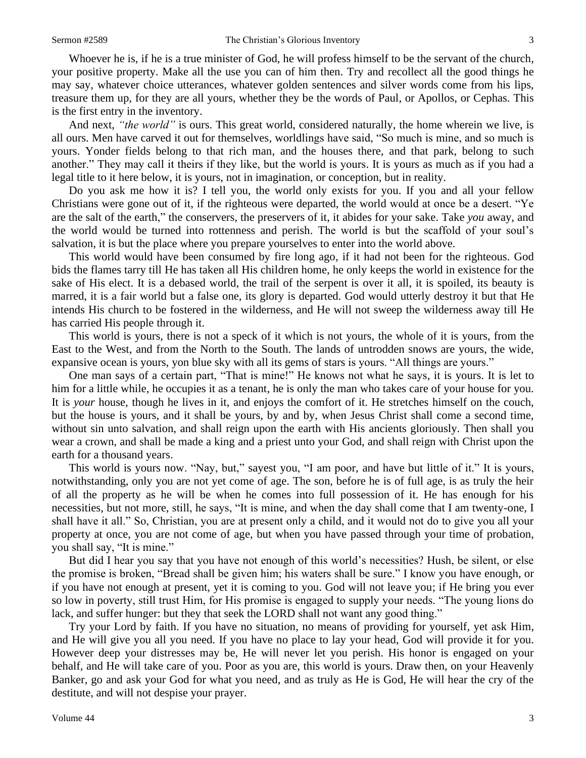Whoever he is, if he is a true minister of God, he will profess himself to be the servant of the church, your positive property. Make all the use you can of him then. Try and recollect all the good things he may say, whatever choice utterances, whatever golden sentences and silver words come from his lips, treasure them up, for they are all yours, whether they be the words of Paul, or Apollos, or Cephas. This is the first entry in the inventory.

And next, *"the world"* is ours. This great world, considered naturally, the home wherein we live, is all ours. Men have carved it out for themselves, worldlings have said, "So much is mine, and so much is yours. Yonder fields belong to that rich man, and the houses there, and that park, belong to such another." They may call it theirs if they like, but the world is yours. It is yours as much as if you had a legal title to it here below, it is yours, not in imagination, or conception, but in reality.

Do you ask me how it is? I tell you, the world only exists for you. If you and all your fellow Christians were gone out of it, if the righteous were departed, the world would at once be a desert. "Ye are the salt of the earth," the conservers, the preservers of it, it abides for your sake. Take *you* away, and the world would be turned into rottenness and perish. The world is but the scaffold of your soul's salvation, it is but the place where you prepare yourselves to enter into the world above.

This world would have been consumed by fire long ago, if it had not been for the righteous. God bids the flames tarry till He has taken all His children home, he only keeps the world in existence for the sake of His elect. It is a debased world, the trail of the serpent is over it all, it is spoiled, its beauty is marred, it is a fair world but a false one, its glory is departed. God would utterly destroy it but that He intends His church to be fostered in the wilderness, and He will not sweep the wilderness away till He has carried His people through it.

This world is yours, there is not a speck of it which is not yours, the whole of it is yours, from the East to the West, and from the North to the South. The lands of untrodden snows are yours, the wide, expansive ocean is yours, yon blue sky with all its gems of stars is yours. "All things are yours."

One man says of a certain part, "That is mine!" He knows not what he says, it is yours. It is let to him for a little while, he occupies it as a tenant, he is only the man who takes care of your house for you. It is *your* house, though he lives in it, and enjoys the comfort of it. He stretches himself on the couch, but the house is yours, and it shall be yours, by and by, when Jesus Christ shall come a second time, without sin unto salvation, and shall reign upon the earth with His ancients gloriously. Then shall you wear a crown, and shall be made a king and a priest unto your God, and shall reign with Christ upon the earth for a thousand years.

This world is yours now. "Nay, but," sayest you, "I am poor, and have but little of it." It is yours, notwithstanding, only you are not yet come of age. The son, before he is of full age, is as truly the heir of all the property as he will be when he comes into full possession of it. He has enough for his necessities, but not more, still, he says, "It is mine, and when the day shall come that I am twenty-one, I shall have it all." So, Christian, you are at present only a child, and it would not do to give you all your property at once, you are not come of age, but when you have passed through your time of probation, you shall say, "It is mine."

But did I hear you say that you have not enough of this world's necessities? Hush, be silent, or else the promise is broken, "Bread shall be given him; his waters shall be sure." I know you have enough, or if you have not enough at present, yet it is coming to you. God will not leave you; if He bring you ever so low in poverty, still trust Him, for His promise is engaged to supply your needs. "The young lions do lack, and suffer hunger: but they that seek the LORD shall not want any good thing."

Try your Lord by faith. If you have no situation, no means of providing for yourself, yet ask Him, and He will give you all you need. If you have no place to lay your head, God will provide it for you. However deep your distresses may be, He will never let you perish. His honor is engaged on your behalf, and He will take care of you. Poor as you are, this world is yours. Draw then, on your Heavenly Banker, go and ask your God for what you need, and as truly as He is God, He will hear the cry of the destitute, and will not despise your prayer.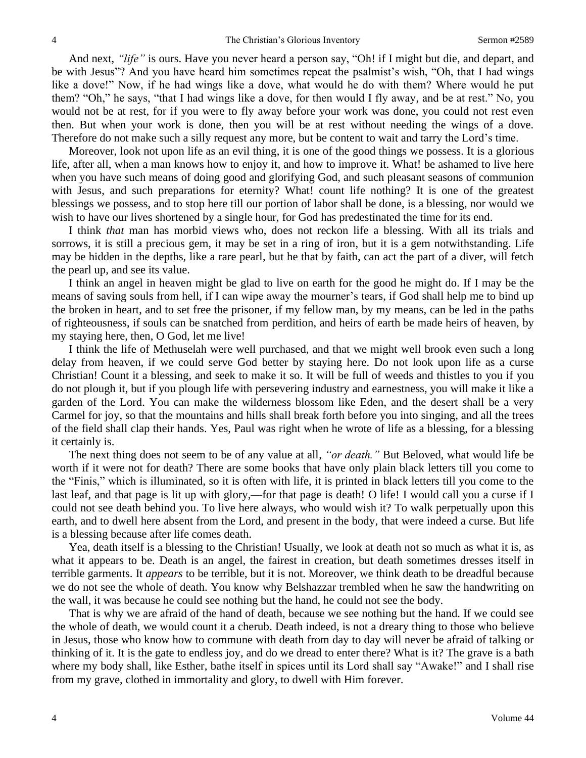And next, *"life"* is ours. Have you never heard a person say, "Oh! if I might but die, and depart, and be with Jesus"? And you have heard him sometimes repeat the psalmist's wish, "Oh, that I had wings like a dove!" Now, if he had wings like a dove, what would he do with them? Where would he put them? "Oh," he says, "that I had wings like a dove, for then would I fly away, and be at rest." No, you would not be at rest, for if you were to fly away before your work was done, you could not rest even then. But when your work is done, then you will be at rest without needing the wings of a dove. Therefore do not make such a silly request any more, but be content to wait and tarry the Lord's time.

Moreover, look not upon life as an evil thing, it is one of the good things we possess. It is a glorious life, after all, when a man knows how to enjoy it, and how to improve it. What! be ashamed to live here when you have such means of doing good and glorifying God, and such pleasant seasons of communion with Jesus, and such preparations for eternity? What! count life nothing? It is one of the greatest blessings we possess, and to stop here till our portion of labor shall be done, is a blessing, nor would we wish to have our lives shortened by a single hour, for God has predestinated the time for its end.

I think *that* man has morbid views who, does not reckon life a blessing. With all its trials and sorrows, it is still a precious gem, it may be set in a ring of iron, but it is a gem notwithstanding. Life may be hidden in the depths, like a rare pearl, but he that by faith, can act the part of a diver, will fetch the pearl up, and see its value.

I think an angel in heaven might be glad to live on earth for the good he might do. If I may be the means of saving souls from hell, if I can wipe away the mourner's tears, if God shall help me to bind up the broken in heart, and to set free the prisoner, if my fellow man, by my means, can be led in the paths of righteousness, if souls can be snatched from perdition, and heirs of earth be made heirs of heaven, by my staying here, then, O God, let me live!

I think the life of Methuselah were well purchased, and that we might well brook even such a long delay from heaven, if we could serve God better by staying here. Do not look upon life as a curse Christian! Count it a blessing, and seek to make it so. It will be full of weeds and thistles to you if you do not plough it, but if you plough life with persevering industry and earnestness, you will make it like a garden of the Lord. You can make the wilderness blossom like Eden, and the desert shall be a very Carmel for joy, so that the mountains and hills shall break forth before you into singing, and all the trees of the field shall clap their hands. Yes, Paul was right when he wrote of life as a blessing, for a blessing it certainly is.

The next thing does not seem to be of any value at all, *"or death."* But Beloved, what would life be worth if it were not for death? There are some books that have only plain black letters till you come to the "Finis," which is illuminated, so it is often with life, it is printed in black letters till you come to the last leaf, and that page is lit up with glory,—for that page is death! O life! I would call you a curse if I could not see death behind you. To live here always, who would wish it? To walk perpetually upon this earth, and to dwell here absent from the Lord, and present in the body, that were indeed a curse. But life is a blessing because after life comes death.

Yea, death itself is a blessing to the Christian! Usually, we look at death not so much as what it is, as what it appears to be. Death is an angel, the fairest in creation, but death sometimes dresses itself in terrible garments. It *appears* to be terrible, but it is not. Moreover, we think death to be dreadful because we do not see the whole of death. You know why Belshazzar trembled when he saw the handwriting on the wall, it was because he could see nothing but the hand, he could not see the body.

That is why we are afraid of the hand of death, because we see nothing but the hand. If we could see the whole of death, we would count it a cherub. Death indeed, is not a dreary thing to those who believe in Jesus, those who know how to commune with death from day to day will never be afraid of talking or thinking of it. It is the gate to endless joy, and do we dread to enter there? What is it? The grave is a bath where my body shall, like Esther, bathe itself in spices until its Lord shall say "Awake!" and I shall rise from my grave, clothed in immortality and glory, to dwell with Him forever.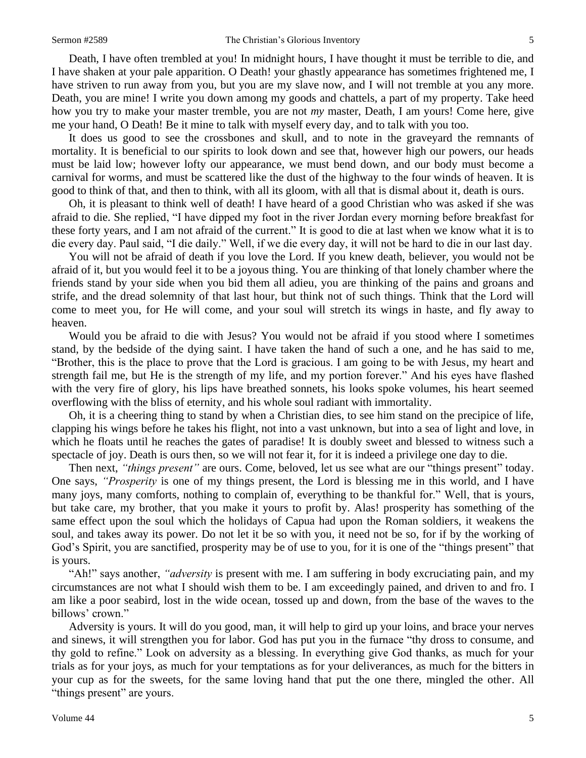Death, I have often trembled at you! In midnight hours, I have thought it must be terrible to die, and I have shaken at your pale apparition. O Death! your ghastly appearance has sometimes frightened me, I have striven to run away from you, but you are my slave now, and I will not tremble at you any more. Death, you are mine! I write you down among my goods and chattels, a part of my property. Take heed how you try to make your master tremble, you are not *my* master, Death, I am yours! Come here, give me your hand, O Death! Be it mine to talk with myself every day, and to talk with you too.

It does us good to see the crossbones and skull, and to note in the graveyard the remnants of mortality. It is beneficial to our spirits to look down and see that, however high our powers, our heads must be laid low; however lofty our appearance, we must bend down, and our body must become a carnival for worms, and must be scattered like the dust of the highway to the four winds of heaven. It is good to think of that, and then to think, with all its gloom, with all that is dismal about it, death is ours.

Oh, it is pleasant to think well of death! I have heard of a good Christian who was asked if she was afraid to die. She replied, "I have dipped my foot in the river Jordan every morning before breakfast for these forty years, and I am not afraid of the current." It is good to die at last when we know what it is to die every day. Paul said, "I die daily." Well, if we die every day, it will not be hard to die in our last day.

You will not be afraid of death if you love the Lord. If you knew death, believer, you would not be afraid of it, but you would feel it to be a joyous thing. You are thinking of that lonely chamber where the friends stand by your side when you bid them all adieu, you are thinking of the pains and groans and strife, and the dread solemnity of that last hour, but think not of such things. Think that the Lord will come to meet you, for He will come, and your soul will stretch its wings in haste, and fly away to heaven.

Would you be afraid to die with Jesus? You would not be afraid if you stood where I sometimes stand, by the bedside of the dying saint. I have taken the hand of such a one, and he has said to me, "Brother, this is the place to prove that the Lord is gracious. I am going to be with Jesus, my heart and strength fail me, but He is the strength of my life, and my portion forever." And his eyes have flashed with the very fire of glory, his lips have breathed sonnets, his looks spoke volumes, his heart seemed overflowing with the bliss of eternity, and his whole soul radiant with immortality.

Oh, it is a cheering thing to stand by when a Christian dies, to see him stand on the precipice of life, clapping his wings before he takes his flight, not into a vast unknown, but into a sea of light and love, in which he floats until he reaches the gates of paradise! It is doubly sweet and blessed to witness such a spectacle of joy. Death is ours then, so we will not fear it, for it is indeed a privilege one day to die.

Then next, *"things present"* are ours. Come, beloved, let us see what are our "things present" today. One says, *"Prosperity* is one of my things present, the Lord is blessing me in this world, and I have many joys, many comforts, nothing to complain of, everything to be thankful for." Well, that is yours, but take care, my brother, that you make it yours to profit by. Alas! prosperity has something of the same effect upon the soul which the holidays of Capua had upon the Roman soldiers, it weakens the soul, and takes away its power. Do not let it be so with you, it need not be so, for if by the working of God's Spirit, you are sanctified, prosperity may be of use to you, for it is one of the "things present" that is yours.

"Ah!" says another, *"adversity* is present with me. I am suffering in body excruciating pain, and my circumstances are not what I should wish them to be. I am exceedingly pained, and driven to and fro. I am like a poor seabird, lost in the wide ocean, tossed up and down, from the base of the waves to the billows' crown."

Adversity is yours. It will do you good, man, it will help to gird up your loins, and brace your nerves and sinews, it will strengthen you for labor. God has put you in the furnace "thy dross to consume, and thy gold to refine." Look on adversity as a blessing. In everything give God thanks, as much for your trials as for your joys, as much for your temptations as for your deliverances, as much for the bitters in your cup as for the sweets, for the same loving hand that put the one there, mingled the other. All "things present" are yours.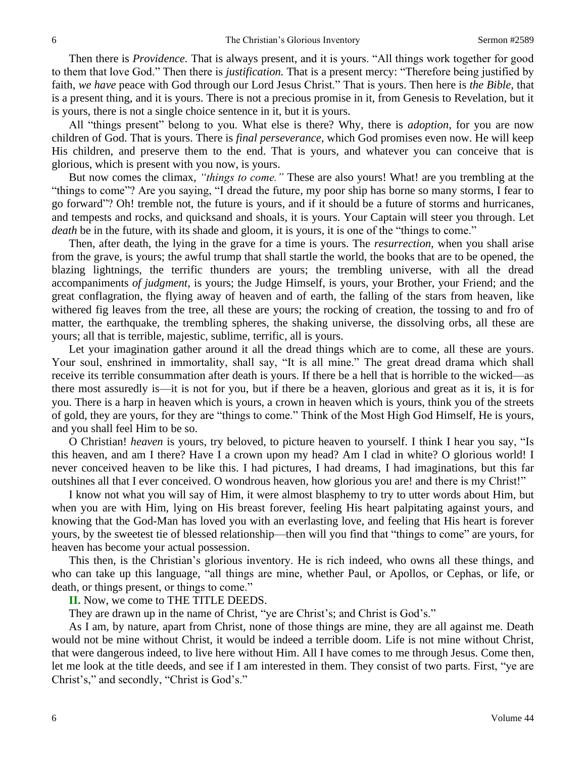Then there is *Providence.* That is always present, and it is yours. "All things work together for good to them that love God." Then there is *justification.* That is a present mercy: "Therefore being justified by faith, *we have* peace with God through our Lord Jesus Christ." That is yours. Then here is *the Bible,* that is a present thing, and it is yours. There is not a precious promise in it, from Genesis to Revelation, but it is yours, there is not a single choice sentence in it, but it is yours.

All "things present" belong to you. What else is there? Why, there is *adoption,* for you are now children of God. That is yours. There is *final perseverance,* which God promises even now. He will keep His children, and preserve them to the end. That is yours, and whatever you can conceive that is glorious, which is present with you now, is yours.

But now comes the climax, *"things to come."* These are also yours! What! are you trembling at the "things to come"? Are you saying, "I dread the future, my poor ship has borne so many storms, I fear to go forward"? Oh! tremble not, the future is yours, and if it should be a future of storms and hurricanes, and tempests and rocks, and quicksand and shoals, it is yours. Your Captain will steer you through. Let *death* be in the future, with its shade and gloom, it is yours, it is one of the "things to come."

Then, after death, the lying in the grave for a time is yours. The *resurrection,* when you shall arise from the grave, is yours; the awful trump that shall startle the world, the books that are to be opened, the blazing lightnings, the terrific thunders are yours; the trembling universe, with all the dread accompaniments *of judgment,* is yours; the Judge Himself, is yours, your Brother, your Friend; and the great conflagration, the flying away of heaven and of earth, the falling of the stars from heaven, like withered fig leaves from the tree, all these are yours; the rocking of creation, the tossing to and fro of matter, the earthquake, the trembling spheres, the shaking universe, the dissolving orbs, all these are yours; all that is terrible, majestic, sublime, terrific, all is yours.

Let your imagination gather around it all the dread things which are to come, all these are yours. Your soul, enshrined in immortality, shall say, "It is all mine." The great dread drama which shall receive its terrible consummation after death is yours. If there be a hell that is horrible to the wicked—as there most assuredly is—it is not for you, but if there be a heaven, glorious and great as it is, it is for you. There is a harp in heaven which is yours, a crown in heaven which is yours, think you of the streets of gold, they are yours, for they are "things to come." Think of the Most High God Himself, He is yours, and you shall feel Him to be so.

O Christian! *heaven* is yours, try beloved, to picture heaven to yourself. I think I hear you say, "Is this heaven, and am I there? Have I a crown upon my head? Am I clad in white? O glorious world! I never conceived heaven to be like this. I had pictures, I had dreams, I had imaginations, but this far outshines all that I ever conceived. O wondrous heaven, how glorious you are! and there is my Christ!"

I know not what you will say of Him, it were almost blasphemy to try to utter words about Him, but when you are with Him, lying on His breast forever, feeling His heart palpitating against yours, and knowing that the God-Man has loved you with an everlasting love, and feeling that His heart is forever yours, by the sweetest tie of blessed relationship—then will you find that "things to come" are yours, for heaven has become your actual possession.

This then, is the Christian's glorious inventory. He is rich indeed, who owns all these things, and who can take up this language, "all things are mine, whether Paul, or Apollos, or Cephas, or life, or death, or things present, or things to come."

**II.** Now, we come to THE TITLE DEEDS.

They are drawn up in the name of Christ, "ye are Christ's; and Christ is God's."

As I am, by nature, apart from Christ, none of those things are mine, they are all against me. Death would not be mine without Christ, it would be indeed a terrible doom. Life is not mine without Christ, that were dangerous indeed, to live here without Him. All I have comes to me through Jesus. Come then, let me look at the title deeds, and see if I am interested in them. They consist of two parts. First, "ye are Christ's," and secondly, "Christ is God's."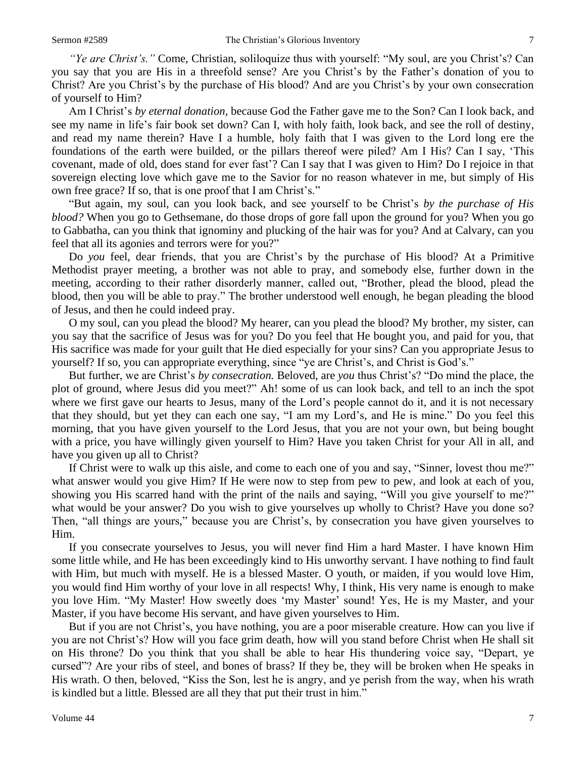*"Ye are Christ's."* Come, Christian, soliloquize thus with yourself: "My soul, are you Christ's? Can you say that you are His in a threefold sense? Are you Christ's by the Father's donation of you to Christ? Are you Christ's by the purchase of His blood? And are you Christ's by your own consecration of yourself to Him?

Am I Christ's *by eternal donation,* because God the Father gave me to the Son? Can I look back, and see my name in life's fair book set down? Can I, with holy faith, look back, and see the roll of destiny, and read my name therein? Have I a humble, holy faith that I was given to the Lord long ere the foundations of the earth were builded, or the pillars thereof were piled? Am I His? Can I say, 'This covenant, made of old, does stand for ever fast'? Can I say that I was given to Him? Do I rejoice in that sovereign electing love which gave me to the Savior for no reason whatever in me, but simply of His own free grace? If so, that is one proof that I am Christ's."

"But again, my soul, can you look back, and see yourself to be Christ's *by the purchase of His blood?* When you go to Gethsemane, do those drops of gore fall upon the ground for you? When you go to Gabbatha, can you think that ignominy and plucking of the hair was for you? And at Calvary, can you feel that all its agonies and terrors were for you?"

Do *you* feel, dear friends, that you are Christ's by the purchase of His blood? At a Primitive Methodist prayer meeting, a brother was not able to pray, and somebody else, further down in the meeting, according to their rather disorderly manner, called out, "Brother, plead the blood, plead the blood, then you will be able to pray." The brother understood well enough, he began pleading the blood of Jesus, and then he could indeed pray.

O my soul, can you plead the blood? My hearer, can you plead the blood? My brother, my sister, can you say that the sacrifice of Jesus was for you? Do you feel that He bought you, and paid for you, that His sacrifice was made for your guilt that He died especially for your sins? Can you appropriate Jesus to yourself? If so, you can appropriate everything, since "ye are Christ's, and Christ is God's."

But further, we are Christ's *by consecration.* Beloved, are *you* thus Christ's? "Do mind the place, the plot of ground, where Jesus did you meet?" Ah! some of us can look back, and tell to an inch the spot where we first gave our hearts to Jesus, many of the Lord's people cannot do it, and it is not necessary that they should, but yet they can each one say, "I am my Lord's, and He is mine." Do you feel this morning, that you have given yourself to the Lord Jesus, that you are not your own, but being bought with a price, you have willingly given yourself to Him? Have you taken Christ for your All in all, and have you given up all to Christ?

If Christ were to walk up this aisle, and come to each one of you and say, "Sinner, lovest thou me?" what answer would you give Him? If He were now to step from pew to pew, and look at each of you, showing you His scarred hand with the print of the nails and saying, "Will you give yourself to me?" what would be your answer? Do you wish to give yourselves up wholly to Christ? Have you done so? Then, "all things are yours," because you are Christ's, by consecration you have given yourselves to Him.

If you consecrate yourselves to Jesus, you will never find Him a hard Master. I have known Him some little while, and He has been exceedingly kind to His unworthy servant. I have nothing to find fault with Him, but much with myself. He is a blessed Master. O youth, or maiden, if you would love Him, you would find Him worthy of your love in all respects! Why, I think, His very name is enough to make you love Him. "My Master! How sweetly does 'my Master' sound! Yes, He is my Master, and your Master, if you have become His servant, and have given yourselves to Him.

But if you are not Christ's, you have nothing, you are a poor miserable creature. How can you live if you are not Christ's? How will you face grim death, how will you stand before Christ when He shall sit on His throne? Do you think that you shall be able to hear His thundering voice say, "Depart, ye cursed"? Are your ribs of steel, and bones of brass? If they be, they will be broken when He speaks in His wrath. O then, beloved, "Kiss the Son, lest he is angry, and ye perish from the way, when his wrath is kindled but a little. Blessed are all they that put their trust in him."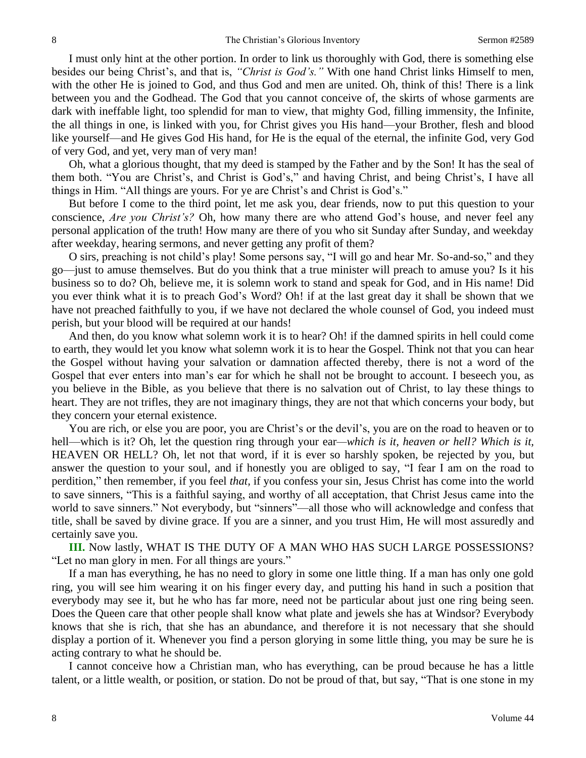I must only hint at the other portion. In order to link us thoroughly with God, there is something else besides our being Christ's, and that is, *"Christ is God's."* With one hand Christ links Himself to men, with the other He is joined to God, and thus God and men are united. Oh, think of this! There is a link between you and the Godhead. The God that you cannot conceive of, the skirts of whose garments are dark with ineffable light, too splendid for man to view, that mighty God, filling immensity, the Infinite, the all things in one, is linked with you, for Christ gives you His hand—your Brother, flesh and blood like yourself—and He gives God His hand, for He is the equal of the eternal, the infinite God, very God of very God, and yet, very man of very man!

Oh, what a glorious thought, that my deed is stamped by the Father and by the Son! It has the seal of them both. "You are Christ's, and Christ is God's," and having Christ, and being Christ's, I have all things in Him. "All things are yours. For ye are Christ's and Christ is God's."

But before I come to the third point, let me ask you, dear friends, now to put this question to your conscience, *Are you Christ's?* Oh, how many there are who attend God's house, and never feel any personal application of the truth! How many are there of you who sit Sunday after Sunday, and weekday after weekday, hearing sermons, and never getting any profit of them?

O sirs, preaching is not child's play! Some persons say, "I will go and hear Mr. So-and-so," and they go—just to amuse themselves. But do you think that a true minister will preach to amuse you? Is it his business so to do? Oh, believe me, it is solemn work to stand and speak for God, and in His name! Did you ever think what it is to preach God's Word? Oh! if at the last great day it shall be shown that we have not preached faithfully to you, if we have not declared the whole counsel of God, you indeed must perish, but your blood will be required at our hands!

And then, do you know what solemn work it is to hear? Oh! if the damned spirits in hell could come to earth, they would let you know what solemn work it is to hear the Gospel. Think not that you can hear the Gospel without having your salvation or damnation affected thereby, there is not a word of the Gospel that ever enters into man's ear for which he shall not be brought to account. I beseech you, as you believe in the Bible, as you believe that there is no salvation out of Christ, to lay these things to heart. They are not trifles, they are not imaginary things, they are not that which concerns your body, but they concern your eternal existence.

You are rich, or else you are poor, you are Christ's or the devil's, you are on the road to heaven or to hell—which is it? Oh, let the question ring through your ear—which is it, heaven or hell? Which is it, HEAVEN OR HELL? Oh, let not that word, if it is ever so harshly spoken, be rejected by you, but answer the question to your soul, and if honestly you are obliged to say, "I fear I am on the road to perdition," then remember, if you feel *that,* if you confess your sin, Jesus Christ has come into the world to save sinners, "This is a faithful saying, and worthy of all acceptation, that Christ Jesus came into the world to save sinners." Not everybody, but "sinners"—all those who will acknowledge and confess that title, shall be saved by divine grace. If you are a sinner, and you trust Him, He will most assuredly and certainly save you.

**III.** Now lastly, WHAT IS THE DUTY OF A MAN WHO HAS SUCH LARGE POSSESSIONS? "Let no man glory in men. For all things are yours."

If a man has everything, he has no need to glory in some one little thing. If a man has only one gold ring, you will see him wearing it on his finger every day, and putting his hand in such a position that everybody may see it, but he who has far more, need not be particular about just one ring being seen. Does the Queen care that other people shall know what plate and jewels she has at Windsor? Everybody knows that she is rich, that she has an abundance, and therefore it is not necessary that she should display a portion of it. Whenever you find a person glorying in some little thing, you may be sure he is acting contrary to what he should be.

I cannot conceive how a Christian man, who has everything, can be proud because he has a little talent, or a little wealth, or position, or station. Do not be proud of that, but say, "That is one stone in my